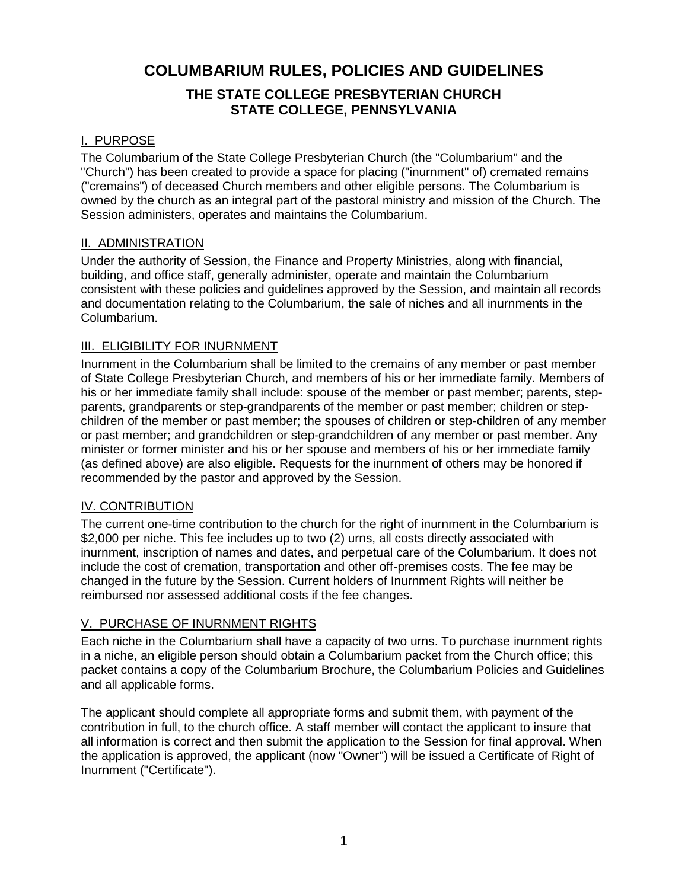# **COLUMBARIUM RULES, POLICIES AND GUIDELINES**

# **THE STATE COLLEGE PRESBYTERIAN CHURCH STATE COLLEGE, PENNSYLVANIA**

# I. PURPOSE

The Columbarium of the State College Presbyterian Church (the "Columbarium" and the "Church") has been created to provide a space for placing ("inurnment" of) cremated remains ("cremains") of deceased Church members and other eligible persons. The Columbarium is owned by the church as an integral part of the pastoral ministry and mission of the Church. The Session administers, operates and maintains the Columbarium.

## II. ADMINISTRATION

Under the authority of Session, the Finance and Property Ministries, along with financial, building, and office staff, generally administer, operate and maintain the Columbarium consistent with these policies and guidelines approved by the Session, and maintain all records and documentation relating to the Columbarium, the sale of niches and all inurnments in the Columbarium.

## III. ELIGIBILITY FOR INURNMENT

Inurnment in the Columbarium shall be limited to the cremains of any member or past member of State College Presbyterian Church, and members of his or her immediate family. Members of his or her immediate family shall include: spouse of the member or past member; parents, stepparents, grandparents or step-grandparents of the member or past member; children or stepchildren of the member or past member; the spouses of children or step-children of any member or past member; and grandchildren or step-grandchildren of any member or past member. Any minister or former minister and his or her spouse and members of his or her immediate family (as defined above) are also eligible. Requests for the inurnment of others may be honored if recommended by the pastor and approved by the Session.

## IV. CONTRIBUTION

The current one-time contribution to the church for the right of inurnment in the Columbarium is \$2,000 per niche. This fee includes up to two (2) urns, all costs directly associated with inurnment, inscription of names and dates, and perpetual care of the Columbarium. It does not include the cost of cremation, transportation and other off-premises costs. The fee may be changed in the future by the Session. Current holders of Inurnment Rights will neither be reimbursed nor assessed additional costs if the fee changes.

## V. PURCHASE OF INURNMENT RIGHTS

Each niche in the Columbarium shall have a capacity of two urns. To purchase inurnment rights in a niche, an eligible person should obtain a Columbarium packet from the Church office; this packet contains a copy of the Columbarium Brochure, the Columbarium Policies and Guidelines and all applicable forms.

The applicant should complete all appropriate forms and submit them, with payment of the contribution in full, to the church office. A staff member will contact the applicant to insure that all information is correct and then submit the application to the Session for final approval. When the application is approved, the applicant (now "Owner") will be issued a Certificate of Right of Inurnment ("Certificate").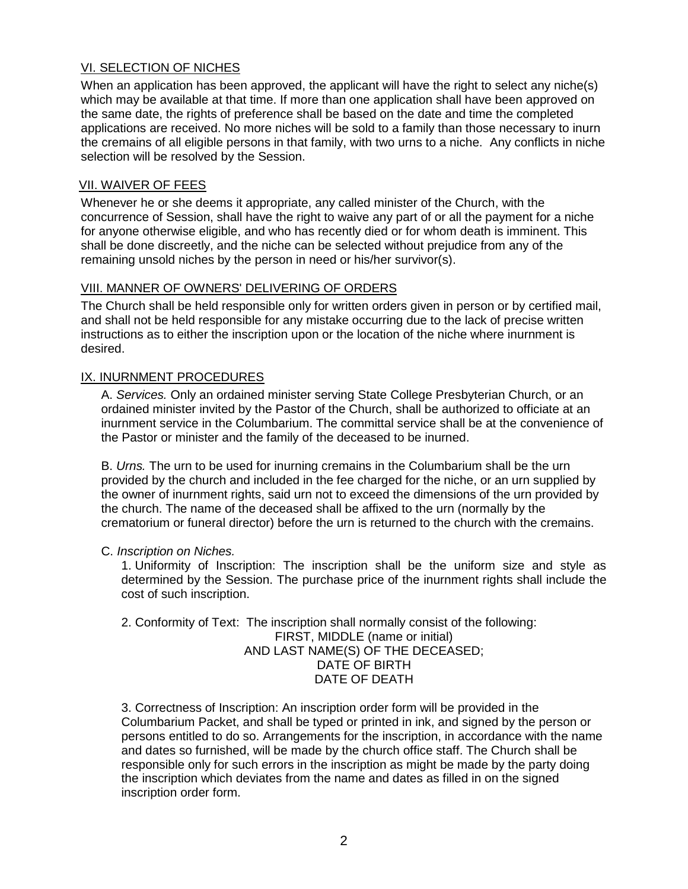## VI. SELECTION OF NICHES

When an application has been approved, the applicant will have the right to select any niche(s) which may be available at that time. If more than one application shall have been approved on the same date, the rights of preference shall be based on the date and time the completed applications are received. No more niches will be sold to a family than those necessary to inurn the cremains of all eligible persons in that family, with two urns to a niche. Any conflicts in niche selection will be resolved by the Session.

### VII. WAIVER OF FEES

Whenever he or she deems it appropriate, any called minister of the Church, with the concurrence of Session, shall have the right to waive any part of or all the payment for a niche for anyone otherwise eligible, and who has recently died or for whom death is imminent. This shall be done discreetly, and the niche can be selected without prejudice from any of the remaining unsold niches by the person in need or his/her survivor(s).

#### VIII. MANNER OF OWNERS' DELIVERING OF ORDERS

The Church shall be held responsible only for written orders given in person or by certified mail, and shall not be held responsible for any mistake occurring due to the lack of precise written instructions as to either the inscription upon or the location of the niche where inurnment is desired.

#### IX. INURNMENT PROCEDURES

A. *Services.* Only an ordained minister serving State College Presbyterian Church, or an ordained minister invited by the Pastor of the Church, shall be authorized to officiate at an inurnment service in the Columbarium. The committal service shall be at the convenience of the Pastor or minister and the family of the deceased to be inurned.

B. *Urns.* The urn to be used for inurning cremains in the Columbarium shall be the urn provided by the church and included in the fee charged for the niche, or an urn supplied by the owner of inurnment rights, said urn not to exceed the dimensions of the urn provided by the church. The name of the deceased shall be affixed to the urn (normally by the crematorium or funeral director) before the urn is returned to the church with the cremains.

#### C. *Inscription on Niches.*

1. Uniformity of Inscription: The inscription shall be the uniform size and style as determined by the Session. The purchase price of the inurnment rights shall include the cost of such inscription.

2. Conformity of Text: The inscription shall normally consist of the following: FIRST, MIDDLE (name or initial) AND LAST NAME(S) OF THE DECEASED; DATE OF BIRTH DATE OF DEATH

3. Correctness of Inscription: An inscription order form will be provided in the Columbarium Packet, and shall be typed or printed in ink, and signed by the person or persons entitled to do so. Arrangements for the inscription, in accordance with the name and dates so furnished, will be made by the church office staff. The Church shall be responsible only for such errors in the inscription as might be made by the party doing the inscription which deviates from the name and dates as filled in on the signed inscription order form.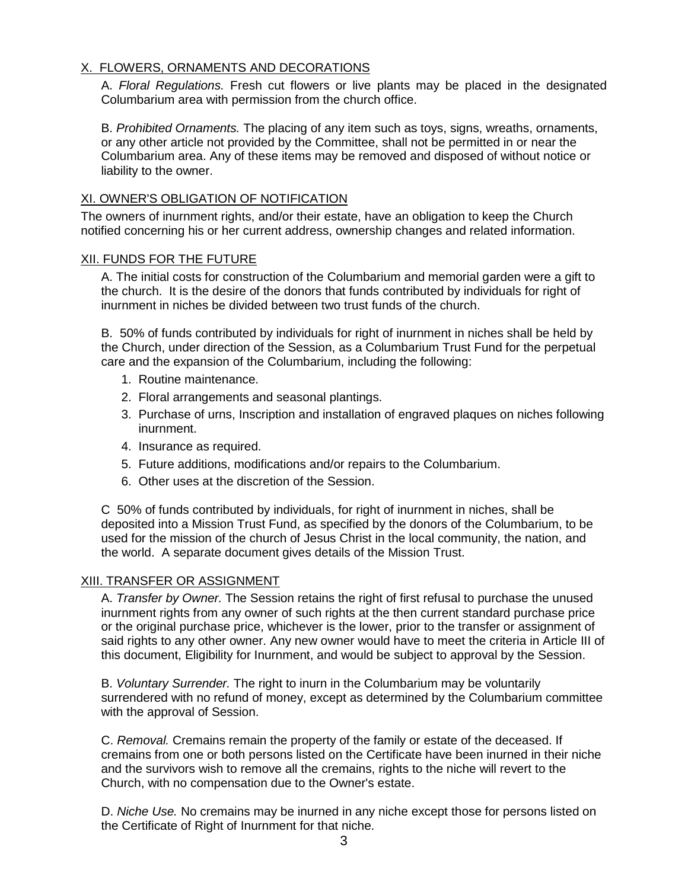### X. FLOWERS, ORNAMENTS AND DECORATIONS

A. *Floral Regulations.* Fresh cut flowers or live plants may be placed in the designated Columbarium area with permission from the church office.

B. *Prohibited Ornaments.* The placing of any item such as toys, signs, wreaths, ornaments, or any other article not provided by the Committee, shall not be permitted in or near the Columbarium area. Any of these items may be removed and disposed of without notice or liability to the owner.

### XI. OWNER'S OBLIGATION OF NOTIFICATION

The owners of inurnment rights, and/or their estate, have an obligation to keep the Church notified concerning his or her current address, ownership changes and related information.

#### XII. FUNDS FOR THE FUTURE

A. The initial costs for construction of the Columbarium and memorial garden were a gift to the church. It is the desire of the donors that funds contributed by individuals for right of inurnment in niches be divided between two trust funds of the church.

B. 50% of funds contributed by individuals for right of inurnment in niches shall be held by the Church, under direction of the Session, as a Columbarium Trust Fund for the perpetual care and the expansion of the Columbarium, including the following:

- 1. Routine maintenance.
- 2. Floral arrangements and seasonal plantings.
- 3. Purchase of urns, Inscription and installation of engraved plaques on niches following inurnment.
- 4. Insurance as required.
- 5. Future additions, modifications and/or repairs to the Columbarium.
- 6. Other uses at the discretion of the Session.

C 50% of funds contributed by individuals, for right of inurnment in niches, shall be deposited into a Mission Trust Fund, as specified by the donors of the Columbarium, to be used for the mission of the church of Jesus Christ in the local community, the nation, and the world. A separate document gives details of the Mission Trust.

#### XIII. TRANSFER OR ASSIGNMENT

A. *Transfer by Owner.* The Session retains the right of first refusal to purchase the unused inurnment rights from any owner of such rights at the then current standard purchase price or the original purchase price, whichever is the lower, prior to the transfer or assignment of said rights to any other owner. Any new owner would have to meet the criteria in Article III of this document, Eligibility for Inurnment, and would be subject to approval by the Session.

B. *Voluntary Surrender.* The right to inurn in the Columbarium may be voluntarily surrendered with no refund of money, except as determined by the Columbarium committee with the approval of Session.

C. *Removal.* Cremains remain the property of the family or estate of the deceased. If cremains from one or both persons listed on the Certificate have been inurned in their niche and the survivors wish to remove all the cremains, rights to the niche will revert to the Church, with no compensation due to the Owner's estate.

D. *Niche Use.* No cremains may be inurned in any niche except those for persons listed on the Certificate of Right of Inurnment for that niche.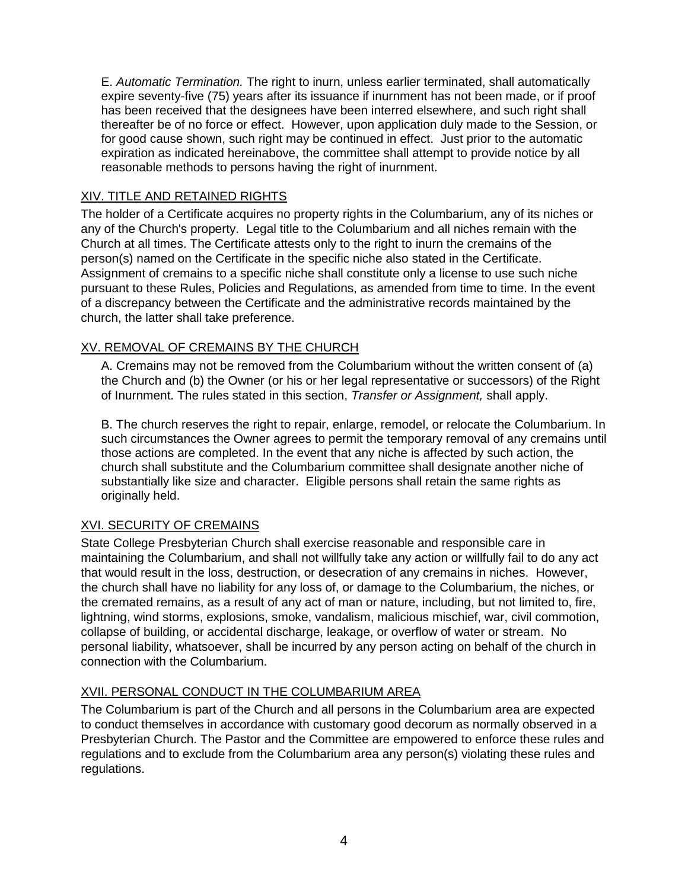E. *Automatic Termination.* The right to inurn, unless earlier terminated, shall automatically expire seventy-five (75) years after its issuance if inurnment has not been made, or if proof has been received that the designees have been interred elsewhere, and such right shall thereafter be of no force or effect. However, upon application duly made to the Session, or for good cause shown, such right may be continued in effect. Just prior to the automatic expiration as indicated hereinabove, the committee shall attempt to provide notice by all reasonable methods to persons having the right of inurnment.

## XIV. TITLE AND RETAINED RIGHTS

The holder of a Certificate acquires no property rights in the Columbarium, any of its niches or any of the Church's property. Legal title to the Columbarium and all niches remain with the Church at all times. The Certificate attests only to the right to inurn the cremains of the person(s) named on the Certificate in the specific niche also stated in the Certificate. Assignment of cremains to a specific niche shall constitute only a license to use such niche pursuant to these Rules, Policies and Regulations, as amended from time to time. In the event of a discrepancy between the Certificate and the administrative records maintained by the church, the latter shall take preference.

## XV. REMOVAL OF CREMAINS BY THE CHURCH

A. Cremains may not be removed from the Columbarium without the written consent of (a) the Church and (b) the Owner (or his or her legal representative or successors) of the Right of Inurnment. The rules stated in this section, *Transfer or Assignment,* shall apply.

B. The church reserves the right to repair, enlarge, remodel, or relocate the Columbarium. In such circumstances the Owner agrees to permit the temporary removal of any cremains until those actions are completed. In the event that any niche is affected by such action, the church shall substitute and the Columbarium committee shall designate another niche of substantially like size and character. Eligible persons shall retain the same rights as originally held.

#### XVI. SECURITY OF CREMAINS

State College Presbyterian Church shall exercise reasonable and responsible care in maintaining the Columbarium, and shall not willfully take any action or willfully fail to do any act that would result in the loss, destruction, or desecration of any cremains in niches. However, the church shall have no liability for any loss of, or damage to the Columbarium, the niches, or the cremated remains, as a result of any act of man or nature, including, but not limited to, fire, lightning, wind storms, explosions, smoke, vandalism, malicious mischief, war, civil commotion, collapse of building, or accidental discharge, leakage, or overflow of water or stream. No personal liability, whatsoever, shall be incurred by any person acting on behalf of the church in connection with the Columbarium.

### XVII. PERSONAL CONDUCT IN THE COLUMBARIUM AREA

The Columbarium is part of the Church and all persons in the Columbarium area are expected to conduct themselves in accordance with customary good decorum as normally observed in a Presbyterian Church. The Pastor and the Committee are empowered to enforce these rules and regulations and to exclude from the Columbarium area any person(s) violating these rules and regulations.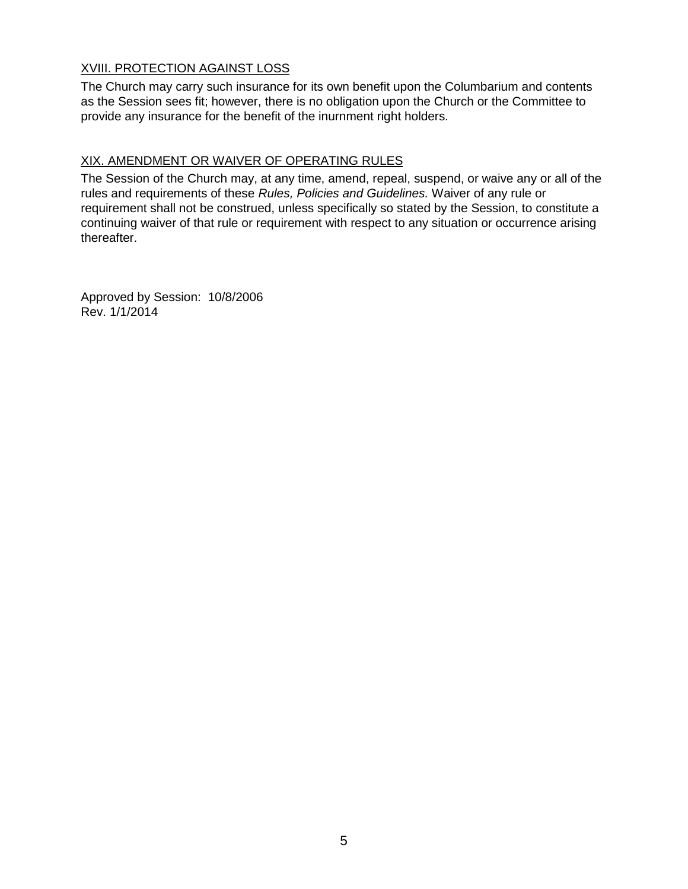## XVIII. PROTECTION AGAINST LOSS

The Church may carry such insurance for its own benefit upon the Columbarium and contents as the Session sees fit; however, there is no obligation upon the Church or the Committee to provide any insurance for the benefit of the inurnment right holders.

## XIX. AMENDMENT OR WAIVER OF OPERATING RULES

The Session of the Church may, at any time, amend, repeal, suspend, or waive any or all of the rules and requirements of these *Rules, Policies and Guidelines.* Waiver of any rule or requirement shall not be construed, unless specifically so stated by the Session, to constitute a continuing waiver of that rule or requirement with respect to any situation or occurrence arising thereafter.

Approved by Session: 10/8/2006 Rev. 1/1/2014